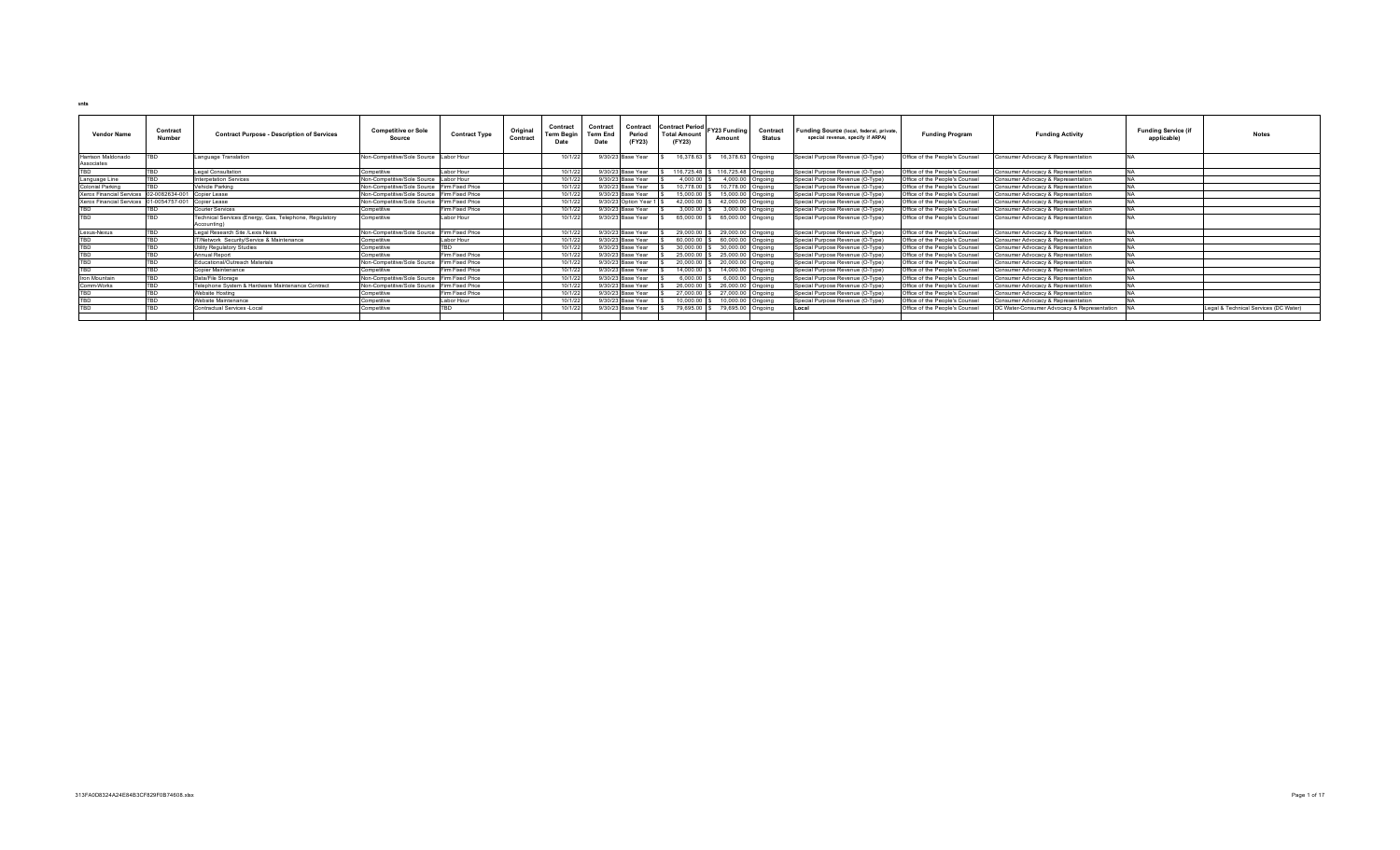| <b>Vendor Name</b>                                   | Contract<br>Number          | <b>Contract Purpose - Description of Services</b>      | <b>Competitive or Sole</b><br>Source         | <b>Contract Type</b> | Origina<br>Contract | Contract<br>Term Begir | Contrac<br><b>Term End</b><br>Date | Contract<br>Period<br>(FY23) | Contract Period FY23 Funding<br><b>Total Amount</b><br>(FY23) | Amount                           | Contract<br><b>Status</b> | Funding Source (local, federal, private,<br>special revenue, specify if ARPA) | <b>Funding Program</b>         | <b>Funding Activity</b>                     | <b>Funding Service (if</b><br>applicable) | <b>Notes</b>                          |
|------------------------------------------------------|-----------------------------|--------------------------------------------------------|----------------------------------------------|----------------------|---------------------|------------------------|------------------------------------|------------------------------|---------------------------------------------------------------|----------------------------------|---------------------------|-------------------------------------------------------------------------------|--------------------------------|---------------------------------------------|-------------------------------------------|---------------------------------------|
| Harrison Maldonado<br>Associates                     | <b>TRD</b>                  | Language Translation                                   | Non-Competitive/Sole Source Labor Hour       |                      |                     | 10/1/2                 |                                    | 9/30/23 Base Year            | 16,378.63                                                     | 16,378.63 Ongoing                |                           | Special Purpose Revenue (O-Type)                                              | Office of the People's Counsel | Consumer Advocacy & Representation          |                                           |                                       |
| TBD                                                  | <b>TRD</b>                  | Legal Consultation                                     | Competitive                                  | Labor Hour           |                     | 10/1/2                 |                                    | 9/30/23 Base Year            |                                                               | 116,725.48 \$ 116,725.48 Ongoing |                           | Special Purpose Revenue (O-Type)                                              | Office of the People's Counsel | Consumer Advocacy & Representation          |                                           |                                       |
|                                                      | <b>TBD</b>                  | <b>Interpetation Services</b>                          | Non-Competitive/Sole Source                  | Labor Hour           |                     | 10/1/22                |                                    | 9/30/23 Base Year            | $4.000.00$ S                                                  | 4,000.00 Ongoing                 |                           | Special Purpose Revenue (O-Type)                                              | Office of the People's Counsel | Consumer Advocacy & Representation          |                                           |                                       |
| Language Line                                        | <b>TRD</b>                  |                                                        |                                              |                      |                     | 10/1/22                |                                    |                              | 10.778.00 \$                                                  |                                  |                           |                                                                               |                                |                                             |                                           |                                       |
| Colonial Parking                                     |                             | Vehicle Parking                                        | Non-Competitive/Sole Source Firm Fixed Price |                      |                     |                        |                                    | 9/30/23 Base Year            |                                                               | 10,778.00 Ongoing                |                           | Special Purpose Revenue (O-Type)                                              | Office of the People's Counsel | Consumer Advocacy & Representation          |                                           |                                       |
| <b>Xerox Financial Services</b>                      | 02-0082634-001 Copier Lease |                                                        | Non-Competitive/Sole Source Firm Fixed Price |                      |                     | 10/1/2                 |                                    | 9/30/23 Base Year            | 15,000.00                                                     | 15,000.00 Ongoing                |                           | Special Purpose Revenue (O-Type)                                              | Office of the People's Counsel | Consumer Advocacy & Representation          |                                           |                                       |
| Xerox Financial Services 01-0054757-001 Copier Lease |                             |                                                        | Non-Competitive/Sole Source                  | Firm Fixed Price     |                     | 10/1/22                |                                    | 9/30/23 Option Year 1        | 42.000.00                                                     | 42,000.00 Ongoing                |                           | Special Purpose Revenue (O-Type)                                              | Office of the People's Counsel | Consumer Advocacy & Representation          |                                           |                                       |
| <b>TRD</b>                                           | <b>TRD</b>                  | Courier Services                                       | Competitive                                  | Firm Fixed Price     |                     | 10/1/2                 |                                    | 9/30/23 Base Year            | 3,000.00 \$                                                   | 3,000.00 Ongoing                 |                           | Special Purpose Revenue (O-Type)                                              | Office of the People's Counsel | Consumer Advocacy & Representation          |                                           |                                       |
| TBD                                                  | <b>TBD</b>                  | Technical Services (Energy, Gas, Telephone, Regulatory | Competitive                                  | Labor Hour           |                     | 10/1/2                 |                                    | 9/30/23 Base Year            | 65,000.00                                                     | 65,000.00 Ongoing                |                           | Special Purpose Revenue (O-Type)                                              | Office of the People's Counsel | Consumer Advocacy & Representation          |                                           |                                       |
|                                                      |                             | Accounting)                                            |                                              |                      |                     |                        |                                    |                              |                                                               |                                  |                           |                                                                               |                                |                                             |                                           |                                       |
| Lexus-Nexus                                          | <b>TRD</b>                  | Legal Research Site /Lexis Nexis                       | Non-Competitive/Sole Source                  | Firm Fixed Price     |                     | 10/1/22                |                                    | 9/30/23 Base Year            | 29,000.00 \$                                                  | 29,000.00 Ongoing                |                           | Special Purpose Revenue (O-Type)                                              | Office of the People's Counsel | Consumer Advocacy & Representation          |                                           |                                       |
| <b>TBD</b>                                           | <b>TBD</b>                  | IT/Network Security/Service & Maintenance              | Competitive                                  | Labor Hour           |                     | 10/1/22                |                                    | 9/30/23 Base Year            |                                                               | 60,000.00 \$ 60,000.00 Ongoing   |                           | Special Purpose Revenue (O-Type)                                              | Office of the People's Counsel | Consumer Advocacy & Representation          |                                           |                                       |
| <b>TBD</b>                                           | <b>TBD</b>                  | <b>Utility Regulatory Studies</b>                      | Competitive                                  | <b>TRD</b>           |                     | 10/1/22                |                                    | 9/30/23 Base Year            |                                                               | 30,000.00 \$ 30,000.00 Ongoing   |                           | Special Purpose Revenue (O-Type)                                              | Office of the People's Counsel | Consumer Advocacy & Representation          |                                           |                                       |
| <b>TRD</b>                                           | <b>TRD</b>                  | Annual Report                                          | Competitive                                  | Firm Fixed Price     |                     | 10/1/2                 |                                    | 9/30/23 Base Year            | 25,000.00                                                     | 25,000.00 Ongoing                |                           | Special Purpose Revenue (O-Type)                                              | Office of the People's Counsel | Consumer Advocacy & Representation          |                                           |                                       |
| <b>TRD</b>                                           | <b>TBD</b>                  | Educational/Outreach Materials                         | Non-Competitive/Sole Source                  | Firm Fixed Price     |                     | 10/1/2                 |                                    | 9/30/23 Base Year            |                                                               | 20,000.00 \$ 20,000.00 Ongoing   |                           | Special Purpose Revenue (O-Type)                                              | Office of the People's Counsel | Consumer Advocacy & Representation          |                                           |                                       |
| TBD                                                  | <b>TBD</b>                  | Copier Maintenance                                     | Competitive                                  | Firm Fixed Price     |                     | 10/1/22                |                                    | 9/30/23 Base Year            | 14,000.00 \$                                                  | 14,000.00 Ongoing                |                           | Special Purpose Revenue (O-Type)                                              | Office of the People's Counsel | Consumer Advocacy & Representation          |                                           |                                       |
| Iron Mountain                                        | TRD                         | Data/File Storage                                      | Non-Competitive/Sole Source                  | Firm Fixed Price     |                     | 10/1/22                |                                    | 9/30/23 Base Year            | 6.000.00                                                      | 6.000.00 Ongoing                 |                           | Special Purpose Revenue (O-Type)                                              | Office of the People's Counsel | Consumer Advocacy & Representation          |                                           |                                       |
| Comm-Works                                           | TBD                         | Telephone System & Hardware Maintenance Contract       | Non-Competitive/Sole Source Firm Fixed Price |                      |                     | 10/1/22                |                                    | 9/30/23 Base Year            | 26,000.00                                                     | 26,000.00 Ongoing                |                           | Special Purpose Revenue (O-Type)                                              | Office of the People's Counsel | Consumer Advocacy & Representation          |                                           |                                       |
| <b>TRD</b>                                           | <b>TRD</b>                  | Website Hosting                                        | Competitive                                  | Firm Fixed Price     |                     | 10/1/2                 |                                    | 9/30/23 Base Year            | 27,000.00                                                     | 27,000.00 Ongoing                |                           | Special Purpose Revenue (O-Type)                                              | Office of the People's Counsel | Consumer Advocacy & Representation          |                                           |                                       |
| <b>TRD</b>                                           | <b>TRD</b>                  | Website Maintenance                                    | Competitive                                  | Labor Hour           |                     | 10/1/22                |                                    | 9/30/23 Base Year            | 10.000.00                                                     | 10,000.00 Ongoing                |                           | Special Purpose Revenue (O-Type)                                              | Office of the People's Counsel | Consumer Advocacy & Representation          |                                           |                                       |
| TBD                                                  | TBD                         | Contractual Services -Local                            | Competitive                                  | TBD                  |                     | 10/1/2                 |                                    | 9/30/23 Base Year            | 79,695.00 S                                                   | 79,695.00 Ongoing                |                           | <b>Local</b>                                                                  | Office of the People's Counsel | DC Water-Consumer Advocacy & Representation |                                           | Legal & Technical Services (DC Water) |
|                                                      |                             |                                                        |                                              |                      |                     |                        |                                    |                              |                                                               |                                  |                           |                                                                               |                                |                                             |                                           |                                       |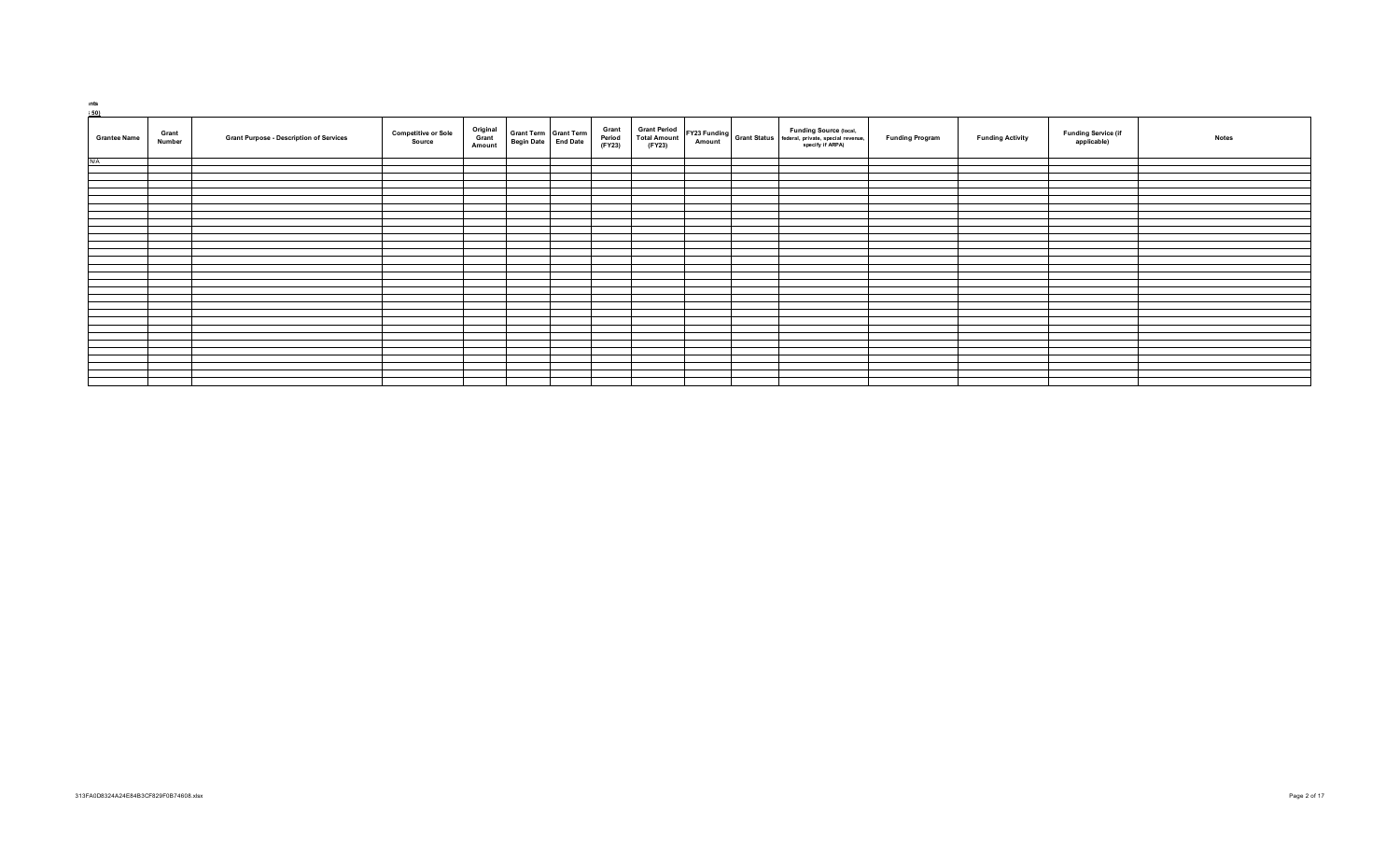| ınts<br>5501        |                 |                                                |                                      |                             |                                              |                           |                                                      |  |  |                                                                                                                          |                        |                         |                                           |              |
|---------------------|-----------------|------------------------------------------------|--------------------------------------|-----------------------------|----------------------------------------------|---------------------------|------------------------------------------------------|--|--|--------------------------------------------------------------------------------------------------------------------------|------------------------|-------------------------|-------------------------------------------|--------------|
| <b>Grantee Name</b> | Grant<br>Number | <b>Grant Purpose - Description of Services</b> | <b>Competitive or Sole</b><br>Source | Original<br>Grant<br>Amount | Grant Term Grant Term<br>Begin Date End Date | Grant<br>Period<br>(FY23) | <b>Grant Period</b><br><b>Total Amount</b><br>(FY23) |  |  | <b>Funding Source (local,</b><br><b>EY23</b> Funding Grant Status federal, private, special revenue,<br>specify if ARPA) | <b>Funding Program</b> | <b>Funding Activity</b> | <b>Funding Service (if</b><br>applicable) | <b>Notes</b> |
| $N/\Delta$          |                 |                                                |                                      |                             |                                              |                           |                                                      |  |  |                                                                                                                          |                        |                         |                                           |              |
|                     |                 |                                                |                                      |                             |                                              |                           |                                                      |  |  |                                                                                                                          |                        |                         |                                           |              |
|                     |                 |                                                |                                      |                             |                                              |                           |                                                      |  |  |                                                                                                                          |                        |                         |                                           |              |
|                     |                 |                                                |                                      |                             |                                              |                           |                                                      |  |  |                                                                                                                          |                        |                         |                                           |              |
|                     |                 |                                                |                                      |                             |                                              |                           |                                                      |  |  |                                                                                                                          |                        |                         |                                           |              |
|                     |                 |                                                |                                      |                             |                                              |                           |                                                      |  |  |                                                                                                                          |                        |                         |                                           |              |
|                     |                 |                                                |                                      |                             |                                              |                           |                                                      |  |  |                                                                                                                          |                        |                         |                                           |              |
|                     |                 |                                                |                                      |                             |                                              |                           |                                                      |  |  |                                                                                                                          |                        |                         |                                           |              |
|                     |                 |                                                |                                      |                             |                                              |                           |                                                      |  |  |                                                                                                                          |                        |                         |                                           |              |
|                     |                 |                                                |                                      |                             |                                              |                           |                                                      |  |  |                                                                                                                          |                        |                         |                                           |              |
|                     |                 |                                                |                                      |                             |                                              |                           |                                                      |  |  |                                                                                                                          |                        |                         |                                           |              |
|                     |                 |                                                |                                      |                             |                                              |                           |                                                      |  |  |                                                                                                                          |                        |                         |                                           |              |
|                     |                 |                                                |                                      |                             |                                              |                           |                                                      |  |  |                                                                                                                          |                        |                         |                                           |              |
|                     |                 |                                                |                                      |                             |                                              |                           |                                                      |  |  |                                                                                                                          |                        |                         |                                           |              |
|                     |                 |                                                |                                      |                             |                                              |                           |                                                      |  |  |                                                                                                                          |                        |                         |                                           |              |
|                     |                 |                                                |                                      |                             |                                              |                           |                                                      |  |  |                                                                                                                          |                        |                         |                                           |              |
|                     |                 |                                                |                                      |                             |                                              |                           |                                                      |  |  |                                                                                                                          |                        |                         |                                           |              |
|                     |                 |                                                |                                      |                             |                                              |                           |                                                      |  |  |                                                                                                                          |                        |                         |                                           |              |
|                     |                 |                                                |                                      |                             |                                              |                           |                                                      |  |  |                                                                                                                          |                        |                         |                                           |              |
|                     |                 |                                                |                                      |                             |                                              |                           |                                                      |  |  |                                                                                                                          |                        |                         |                                           |              |
|                     |                 |                                                |                                      |                             |                                              |                           |                                                      |  |  |                                                                                                                          |                        |                         |                                           |              |
|                     |                 |                                                |                                      |                             |                                              |                           |                                                      |  |  |                                                                                                                          |                        |                         |                                           |              |
|                     |                 |                                                |                                      |                             |                                              |                           |                                                      |  |  |                                                                                                                          |                        |                         |                                           |              |
|                     |                 |                                                |                                      |                             |                                              |                           |                                                      |  |  |                                                                                                                          |                        |                         |                                           |              |
|                     |                 |                                                |                                      |                             |                                              |                           |                                                      |  |  |                                                                                                                          |                        |                         |                                           |              |
|                     |                 |                                                |                                      |                             |                                              |                           |                                                      |  |  |                                                                                                                          |                        |                         |                                           |              |
|                     |                 |                                                |                                      |                             |                                              |                           |                                                      |  |  |                                                                                                                          |                        |                         |                                           |              |
|                     |                 |                                                |                                      |                             |                                              |                           |                                                      |  |  |                                                                                                                          |                        |                         |                                           |              |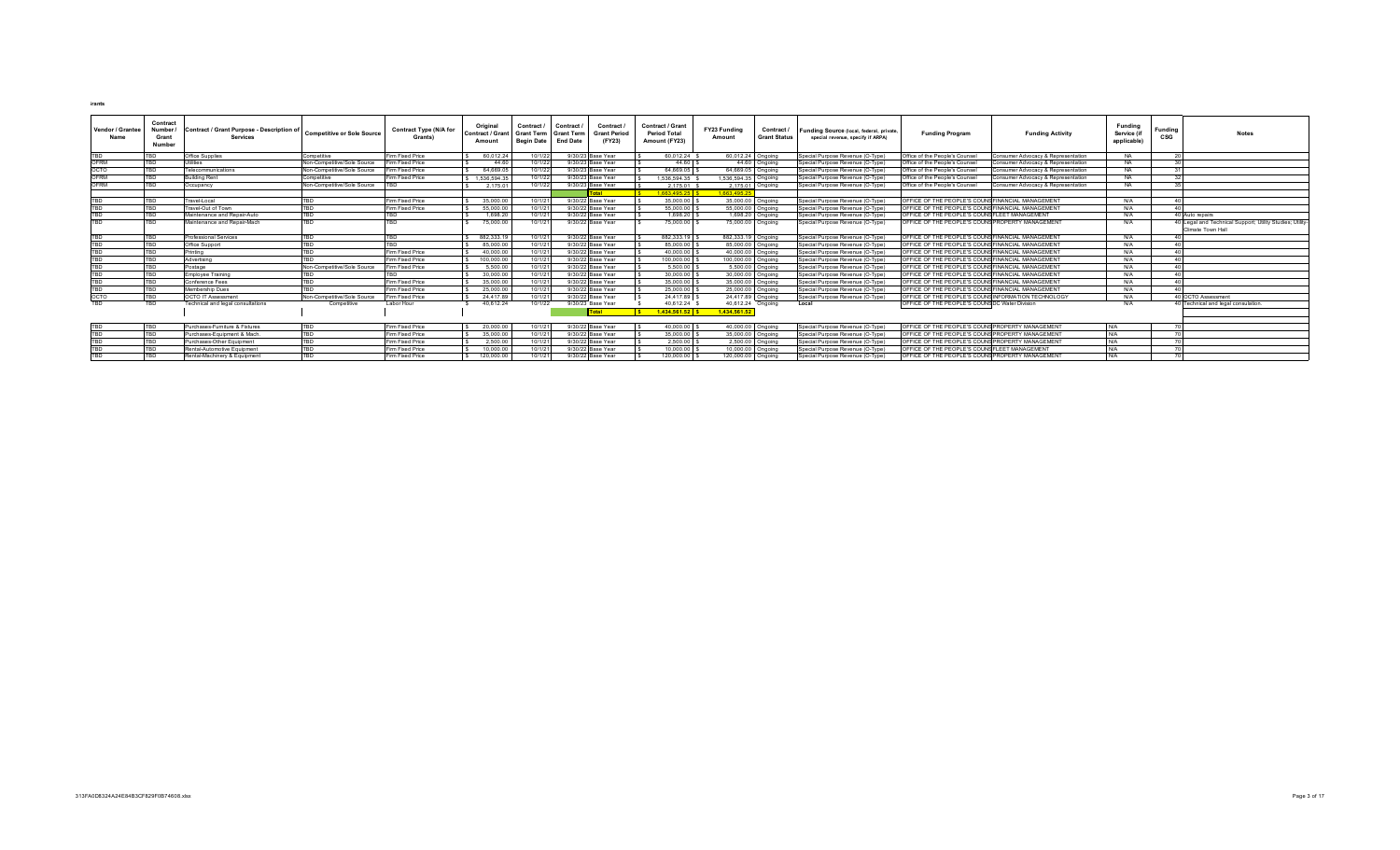| Vendor / Grantee<br>Name | Contract<br>Number.<br>Grant<br><b>Number</b> | <b>Contract / Grant Purpose - Description of</b><br><b>Services</b> | <b>Competitive or Sole Source</b>  | <b>Contract Type (N/A for</b><br>Grants) | Original<br><b>Contract / Grant</b><br>Amoun | Contract<br><b>Grant Term</b><br><b>Begin Date</b> | Contract<br><b>Grant Term</b><br><b>End Date</b> | Contract<br><b>Grant Period</b><br>(FY23) | Contract / Grant<br><b>Period Total</b><br>Amount (FY23) | FY23 Funding<br>Amount | Contract /<br><b>Grant Status</b> | Funding Source (local, federal, private,<br>special revenue, specify if ARPA) | <b>Funding Program</b>                             | <b>Funding Activity</b>            | Fundina<br>Service (if<br>applicable | <b>Funding</b><br>CSG | <b>Notes</b>                                                                   |
|--------------------------|-----------------------------------------------|---------------------------------------------------------------------|------------------------------------|------------------------------------------|----------------------------------------------|----------------------------------------------------|--------------------------------------------------|-------------------------------------------|----------------------------------------------------------|------------------------|-----------------------------------|-------------------------------------------------------------------------------|----------------------------------------------------|------------------------------------|--------------------------------------|-----------------------|--------------------------------------------------------------------------------|
| <b>TBD</b>               |                                               | Office Supplies                                                     | Competitive                        | im Fixed Price                           | 60.012.24                                    | 10/1/22                                            |                                                  | 9/30/23 Base Year                         | 60.012.24                                                | 60.012.24 Ongoing      |                                   | Special Purpose Revenue (O-Type)                                              | Office of the People's Counsel                     | onsumer Advocacy & Representation  | <b>NA</b>                            |                       |                                                                                |
| <b>OFRM</b>              | TBD.                                          | Utilities                                                           | Non-Competitive/Sole Source        | Firm Fixed Price                         | 44.60                                        | 10/1/2                                             |                                                  | 9/30/23 Base Year                         | 44.60                                                    |                        | 44.60 Ongoing                     | Special Purpose Revenue (O-Type)                                              | Office of the People's Counsel                     | onsumer Advocacy & Representation  | NΔ                                   |                       |                                                                                |
| OCTO                     | TBD                                           | Telecommunications                                                  | Non-Competitive/Sole Source        | im Fixed Price                           | 64.669.05                                    | 10/1/2                                             |                                                  | 9/30/23 Base Year                         | 64.669.05                                                | 64.669.05 Ongoing      |                                   | Special Purpose Revenue (O-Type)                                              | Office of the People's Counse                      | onsumer Advocacy & Representation  | NΔ                                   |                       |                                                                                |
| OFRM                     | TRD                                           | <b>Building Rent</b>                                                | avitition.                         | Firm Fixed Price                         | 1 536 594 35                                 | 10/1/2                                             |                                                  | 9/30/23 Base Year                         | 1 536 594 35 \$                                          | 1 536 594 35 Ongoing   |                                   | Special Purpose Revenue (O-Type)                                              | Office of the People's Counse                      | onsumer Advocacy & Representation  | NΔ                                   |                       |                                                                                |
| OFRM                     | TBD                                           | Occupancy                                                           | Non-Competitive/Sole Source        |                                          | 2 175 01                                     | 10/1/22                                            |                                                  | 9/30/23 Base Year                         | 2.175.01                                                 |                        | 2 175 01 Ongoing                  | Special Purpose Revenue (O-Type)                                              | Office of the People's Counsel                     | Consumer Advocacy & Representation | NA.                                  |                       |                                                                                |
|                          |                                               |                                                                     |                                    |                                          |                                              |                                                    |                                                  | Total                                     | \$ 166349525                                             | 1.663.495.3            |                                   |                                                                               |                                                    |                                    |                                      |                       |                                                                                |
| TBD                      |                                               | Travel-Local                                                        |                                    | <b>Firm Fixed Price</b>                  | 35,000.00                                    | 10/1/2                                             |                                                  | 9/30/22 Base Year                         | 35,000.00                                                | 35,000.00 Ongoing      |                                   | Special Purpose Revenue (O-Type)                                              | OFFICE OF THE PEOPLE'S COUNS FINANCIAL MANAGEMENT  |                                    | N/A                                  |                       |                                                                                |
| TBD                      | TBD.                                          | Travel-Out of Town                                                  |                                    | Firm Fixed Price                         | 55,000.00                                    | 10/1/2                                             |                                                  | 9/30/22 Base Year                         | 55,000.00                                                | 55,000.00 Ongoing      |                                   | Special Purpose Revenue (O-Type)                                              | OFFICE OF THE PEOPLE'S COUNSFINANCIAL MANAGEMENT   |                                    | N/A                                  |                       |                                                                                |
| TRD                      | TBD                                           | Maintenance and Repair-Auto                                         | TRN                                |                                          | 1.698.20                                     | 10/1/2                                             |                                                  | 9/30/22 Base Year                         | 1.698.20                                                 |                        | 1,698.20 Ongoing                  | Special Purpose Revenue (O-Type)                                              | OFFICE OF THE PEOPLE'S COUNS FLEET MANAGEMENT      |                                    | N/A                                  |                       | 40 Auto repairs                                                                |
| <b>TRD</b>               | TRD                                           | Maintenance and Repair-Mach                                         | TRD                                |                                          | 75,000.00                                    | 10/1/2                                             |                                                  | 9/30/22 Base Year                         | 75,000.00                                                | 75,000.00 Ongoing      |                                   | Special Purpose Revenue (O-Type)                                              | OFFICE OF THE PEOPLE'S COUNS PROPERTY MANAGEMENT   |                                    | N/A                                  |                       | 40 Legal and Technical Support; Utility Studies; Utility-<br>Climate Town Hall |
| TBD                      | TBD                                           | Professional Services                                               | TRN                                | <b>TBD</b>                               | 882.333.19                                   | 10/1/2                                             |                                                  | 9/30/22 Base Year                         | 882.333.19                                               | 882,333.19 Ongoing     |                                   | Special Purpose Revenue (O-Type)                                              | OFFICE OF THE PEOPLE'S COUNS FINANCIAL MANAGEMENT  |                                    | N/A                                  |                       |                                                                                |
| <b>TBD</b>               | TBD.                                          | Office Support                                                      |                                    | <b>TRD</b>                               | 85,000.00                                    | 10/1/2                                             |                                                  | 9/30/22 Base Year                         | 85,000.00                                                | 85,000.00 Ongoing      |                                   | Special Purpose Revenue (O-Type)                                              | OFFICE OF THE PEOPLE'S COUNS FINANCIAL MANAGEMENT  |                                    | N/A                                  |                       |                                                                                |
| <b>TRD</b>               |                                               | Printing                                                            |                                    | Firm Fixed Price                         | 40,000.00                                    | 10/1/2                                             |                                                  | 9/30/22 Base Year                         | 40.000.00                                                | 40,000.00 Ongoing      |                                   | Special Purpose Revenue (O-Type)                                              | OFFICE OF THE PEOPLE'S COUNSFINANCIAL MANAGEMENT   |                                    | N/A                                  |                       |                                                                                |
| TBD                      |                                               | Advertising                                                         |                                    | Firm Fixed Price                         | 100,000.00                                   | 10/1/2                                             |                                                  | 9/30/22 Base Year                         | 100.000.00                                               | 100,000.00 Ongoing     |                                   | Special Purpose Revenue (O-Type)                                              | OFFICE OF THE PEOPLE'S COUNSFINANCIAL MANAGEMENT   |                                    | $NI/\Delta$                          |                       |                                                                                |
| TBD                      |                                               | Postage                                                             | Non-Competitive/Sole Source        | Firm Fixed Price                         | 5.500.00                                     | 10/1/2                                             |                                                  | 9/30/22 Base Year                         | 5,500.00                                                 |                        | 5.500.00 Ongoing                  | Special Purpose Revenue (O-Type)                                              | OFFICE OF THE PEOPLE'S COUNS FINANCIAL MANAGEMENT  |                                    | N/A                                  |                       |                                                                                |
| <b>TRD</b>               | <b>TRD</b>                                    | Employee Training                                                   |                                    |                                          | 30,000.00                                    | 10/1/2                                             |                                                  | 9/30/22 Base Year                         | 30,000.00                                                | 30,000.00 Ongoing      |                                   | Special Purpose Revenue (O-Type)                                              | OFFICE OF THE PEOPLE'S COUNSFINANCIAL MANAGEMENT   |                                    | N/A                                  |                       |                                                                                |
| TRN                      |                                               | Conference Fees                                                     | TRN                                | Firm Fixed Price                         | 35,000.00                                    | 10/1/2                                             |                                                  | 9/30/22 Base Year                         | 35,000.00                                                | 35,000.00 Ongoing      |                                   | Special Purpose Revenue (O-Type)                                              | OFFICE OF THE PEOPLE'S COUNS FINANCIAL MANAGEMENT  |                                    | N/A                                  |                       |                                                                                |
| <b>TRD</b>               |                                               | Membership Dues                                                     | ron                                | Firm Fixed Price                         | 25,000.00                                    | 10/1/2                                             |                                                  | 9/30/22 Base Year                         | 25,000.00                                                | 25,000.00 Ongoing      |                                   | Special Purpose Revenue (O-Type)                                              | OFFICE OF THE PEOPLE'S COUNSFINANCIAL MANAGEMENT   |                                    | N/A                                  |                       |                                                                                |
| ОСТО                     | TBD                                           | <b>OCTO IT Assessment</b>                                           | <b>Non-Competitive/Sole Source</b> | Firm Fixed Price                         | 24,417.89                                    | 10/1/2                                             | 9/30/22                                          | Base Year                                 | 24.417.89                                                | 24,417.89 Ongoing      |                                   | Special Purpose Revenue (O-Type)                                              | OFFICE OF THE PEOPLE'S COUNSINFORMATION TECHNOLOGY |                                    | N/A                                  |                       | 40 OCTO Assessment                                                             |
| <b>TBD</b>               | TBD                                           | Technical and legal consultations                                   | Competitive                        | Labor Hour                               | 40.612.24                                    | 10/1/22                                            |                                                  | 9/30/23 Base Year                         | 40.612.24                                                | 40.612.24 Ongoing      |                                   | Local                                                                         | OFFICE OF THE PEOPLE'S COUNSIDC Water Division     |                                    | N/A                                  |                       | 0 Technical and legal consulation                                              |
|                          |                                               |                                                                     |                                    |                                          |                                              |                                                    |                                                  | Total                                     | 1.434.561.52                                             | 1.434.561.52           |                                   |                                                                               |                                                    |                                    |                                      |                       |                                                                                |
|                          |                                               |                                                                     |                                    |                                          |                                              |                                                    |                                                  |                                           |                                                          |                        |                                   |                                                                               |                                                    |                                    |                                      |                       |                                                                                |
| TBD                      |                                               | Purchases-Furniture & Fixtures                                      |                                    | Firm Fixed Price                         | 20,000.00                                    | 10/1/2                                             |                                                  | 9/30/22 Base Year                         | 40.000.00                                                | 40,000,00 Ongoing      |                                   | Special Purpose Revenue (O-Type)                                              | OFFICE OF THE PEOPLE'S COUNS PROPERTY MANAGEMENT   |                                    | N/A                                  |                       |                                                                                |
| TRD.                     |                                               | Purchases-Equipment & Mach.                                         | TRD                                | Firm Fixed Price                         | 35,000.00                                    | 10/1/2                                             |                                                  | 9/30/22 Base Year                         | 35,000.00                                                | 35,000.00 Ongoing      |                                   | Special Purpose Revenue (O-Type)                                              | OFFICE OF THE PEOPLE'S COUNS PROPERTY MANAGEMENT   |                                    | N/A                                  |                       |                                                                                |
| TBD                      | <b>TRD</b>                                    | Purchases-Other Equipment                                           | <b>TRD</b>                         | Firm Fixed Price                         | 2.500.00                                     | 10/1/2                                             |                                                  | 9/30/22 Base Year                         | 2,500.00                                                 |                        | 2.500.00 Ongoing                  | Special Purpose Revenue (O-Type)                                              | OFFICE OF THE PEOPLE'S COUNSPROPERTY MANAGEMENT    |                                    | N/A                                  |                       |                                                                                |
| TBD                      | TBD                                           | Rental-Automotive Equipment                                         | <b>TBD</b>                         | Firm Fixed Price                         | 10.000.00                                    | 10/1/2                                             |                                                  | 9/30/22 Base Year                         | 10.000.00                                                | 10,000.00 Ongoing      |                                   | Special Purpose Revenue (O-Type)                                              | OFFICE OF THE PEOPLE'S COUNSFLEET MANAGEMENT       |                                    | N/A                                  |                       |                                                                                |
| <b>TBD</b>               | <b>TRD</b>                                    | Rental-Machinery & Equipment                                        | <b>TBD</b>                         | Firm Fixed Price                         | 120,000.00                                   | 10/1/21                                            |                                                  | 9/30/22 Base Year                         | 120,000.00                                               | 120,000.00 Ongoing     |                                   | Special Purpose Revenue (O-Type)                                              | OFFICE OF THE PEOPLE'S COUNSPROPERTY MANAGEMENT    |                                    | N/A                                  |                       |                                                                                |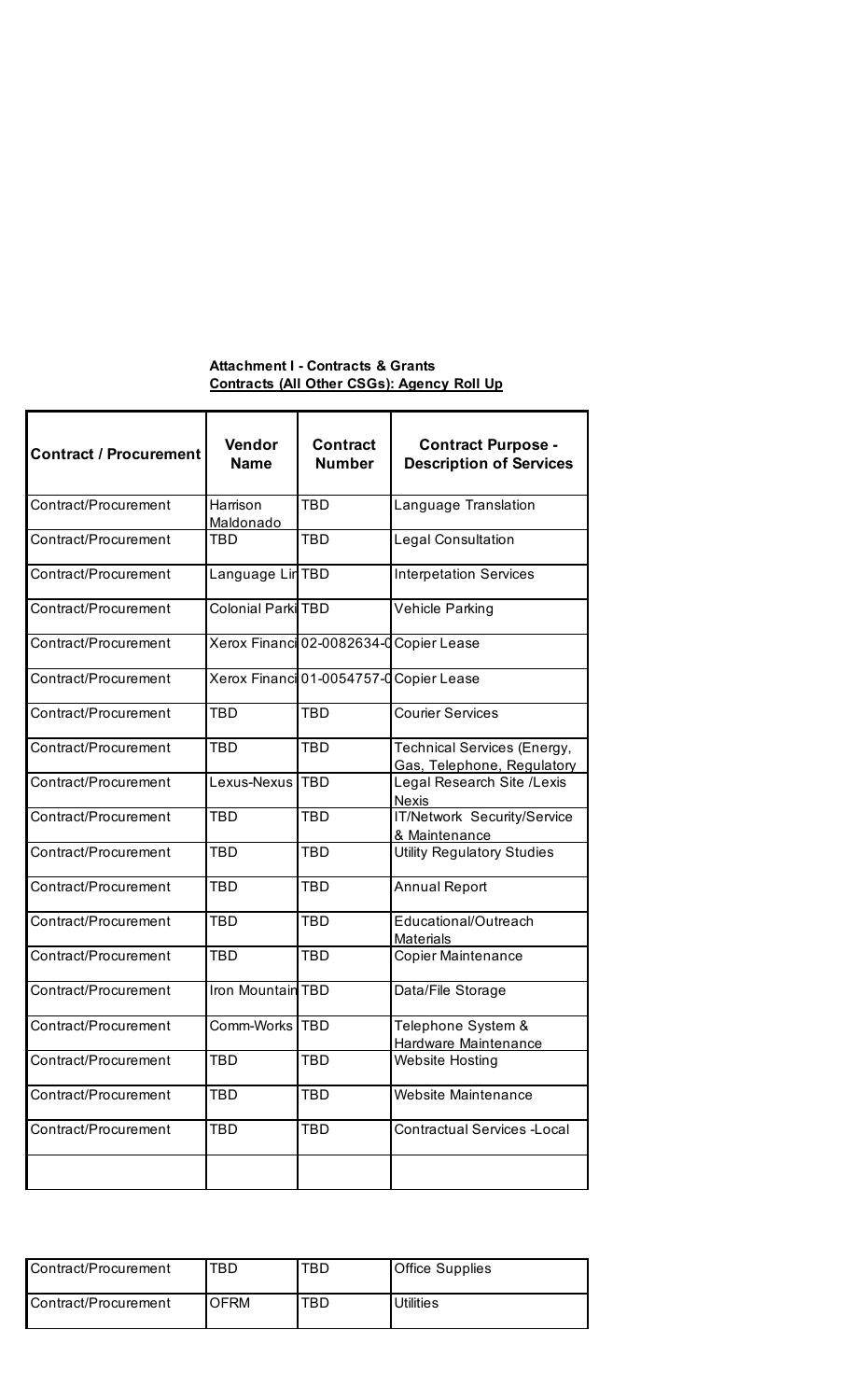## **Attachment I - Contracts & Grants Contracts (All Other CSGs): Agency Roll Up**

| <b>Contract / Procurement</b> | Vendor<br><b>Name</b>     | <b>Contract</b><br><b>Number</b>        | <b>Contract Purpose -</b><br><b>Description of Services</b> |
|-------------------------------|---------------------------|-----------------------------------------|-------------------------------------------------------------|
| Contract/Procurement          | Harrison<br>Maldonado     | TBD                                     | Language Translation                                        |
| Contract/Procurement          | TBD                       | TBD                                     | <b>Legal Consultation</b>                                   |
| Contract/Procurement          | Language Lin TBD          |                                         | <b>Interpetation Services</b>                               |
| Contract/Procurement          | <b>Colonial Parki TBD</b> |                                         | Vehicle Parking                                             |
| Contract/Procurement          |                           | Xerox Financi 02-0082634-0 Copier Lease |                                                             |
| Contract/Procurement          |                           | Xerox Financi 01-0054757-0 Copier Lease |                                                             |
| Contract/Procurement          | TBD                       | <b>TBD</b>                              | <b>Courier Services</b>                                     |
| Contract/Procurement          | <b>TBD</b>                | <b>TBD</b>                              | Technical Services (Energy,<br>Gas, Telephone, Regulatory   |
| Contract/Procurement          | Lexus-Nexus               | <b>TBD</b>                              | Legal Research Site /Lexis<br><b>Nexis</b>                  |
| Contract/Procurement          | <b>TBD</b>                | <b>TBD</b>                              | IT/Network Security/Service<br>& Maintenance                |
| Contract/Procurement          | <b>TBD</b>                | <b>TBD</b>                              | <b>Utility Regulatory Studies</b>                           |
| Contract/Procurement          | <b>TBD</b>                | TBD                                     | <b>Annual Report</b>                                        |
| Contract/Procurement          | TBD                       | TBD                                     | Educational/Outreach<br><b>Materials</b>                    |
| Contract/Procurement          | TBD                       | <b>TBD</b>                              | <b>Copier Maintenance</b>                                   |
| Contract/Procurement          | Iron Mountain TBD         |                                         | Data/File Storage                                           |
| Contract/Procurement          | Comm-Works   TBD          |                                         | Telephone System &<br>Hardware Maintenance                  |
| Contract/Procurement          | TBD                       | TBD                                     | <b>Website Hosting</b>                                      |
| Contract/Procurement          | TBD                       | TBD                                     | <b>Website Maintenance</b>                                  |
| Contract/Procurement          | TBD                       | TBD                                     | <b>Contractual Services -Local</b>                          |
|                               |                           |                                         |                                                             |

| Contract/Procurement | TBD. | TBD. | <b>Office Supplies</b> |
|----------------------|------|------|------------------------|
| Contract/Procurement | OFRM | TBD  | <b>Utilities</b>       |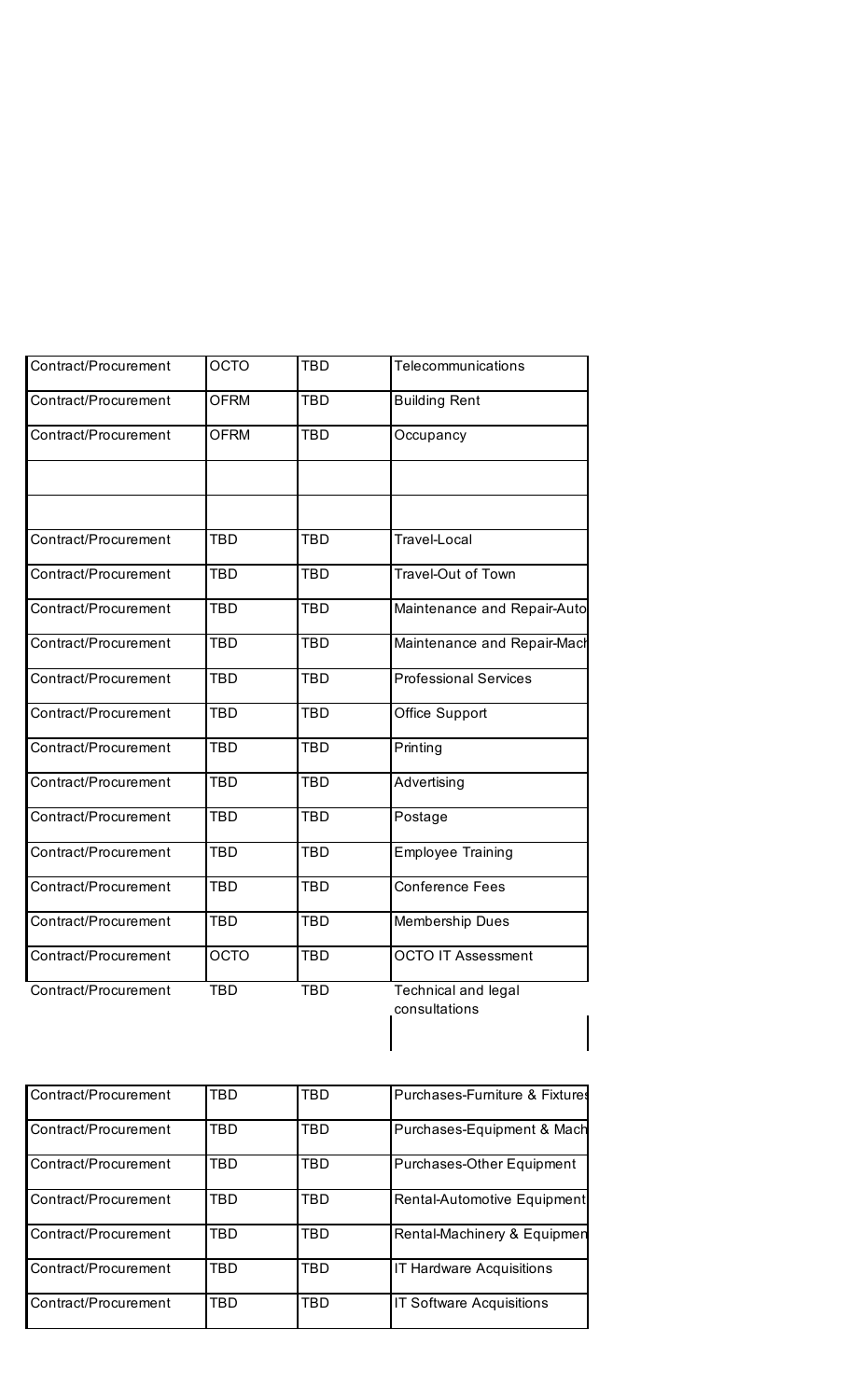| <b>OCTO</b> | TBD        | Telecommunications                   |
|-------------|------------|--------------------------------------|
| <b>OFRM</b> | <b>TBD</b> | <b>Building Rent</b>                 |
| <b>OFRM</b> | <b>TBD</b> | Occupancy                            |
|             |            |                                      |
|             |            |                                      |
|             |            | Travel-Local                         |
| <b>TBD</b>  | <b>TBD</b> | Travel-Out of Town                   |
| <b>TBD</b>  | <b>TBD</b> | Maintenance and Repair-Auto          |
| <b>TBD</b>  | <b>TBD</b> | Maintenance and Repair-Mach          |
| <b>TBD</b>  | <b>TBD</b> | <b>Professional Services</b>         |
| <b>TBD</b>  | <b>TBD</b> | Office Support                       |
| <b>TBD</b>  | <b>TBD</b> | Printing                             |
| <b>TBD</b>  | <b>TBD</b> | Advertising                          |
| <b>TBD</b>  | <b>TBD</b> | Postage                              |
| <b>TBD</b>  | <b>TBD</b> | <b>Employee Training</b>             |
| <b>TBD</b>  | <b>TBD</b> | <b>Conference Fees</b>               |
| <b>TBD</b>  | <b>TBD</b> | Membership Dues                      |
| <b>OCTO</b> | <b>TBD</b> | <b>OCTO IT Assessment</b>            |
| <b>TBD</b>  | <b>TBD</b> | Technical and legal<br>consultations |
|             | <b>TBD</b> | <b>TBD</b>                           |

| Contract/Procurement | TBD        | TBD        | Purchases-Furniture & Fixtures   |
|----------------------|------------|------------|----------------------------------|
| Contract/Procurement | TBD        | TBD        | Purchases-Equipment & Mach       |
| Contract/Procurement | TBD        | TBD        | <b>Purchases-Other Equipment</b> |
| Contract/Procurement | TBD        | <b>TBD</b> | Rental-Automotive Equipment      |
| Contract/Procurement | TBD        | TBD        | Rental-Machinery & Equipmen      |
| Contract/Procurement | <b>TBD</b> | <b>TBD</b> | <b>IT Hardware Acquisitions</b>  |
| Contract/Procurement | TBD        | TBD        | <b>IT Software Acquisitions</b>  |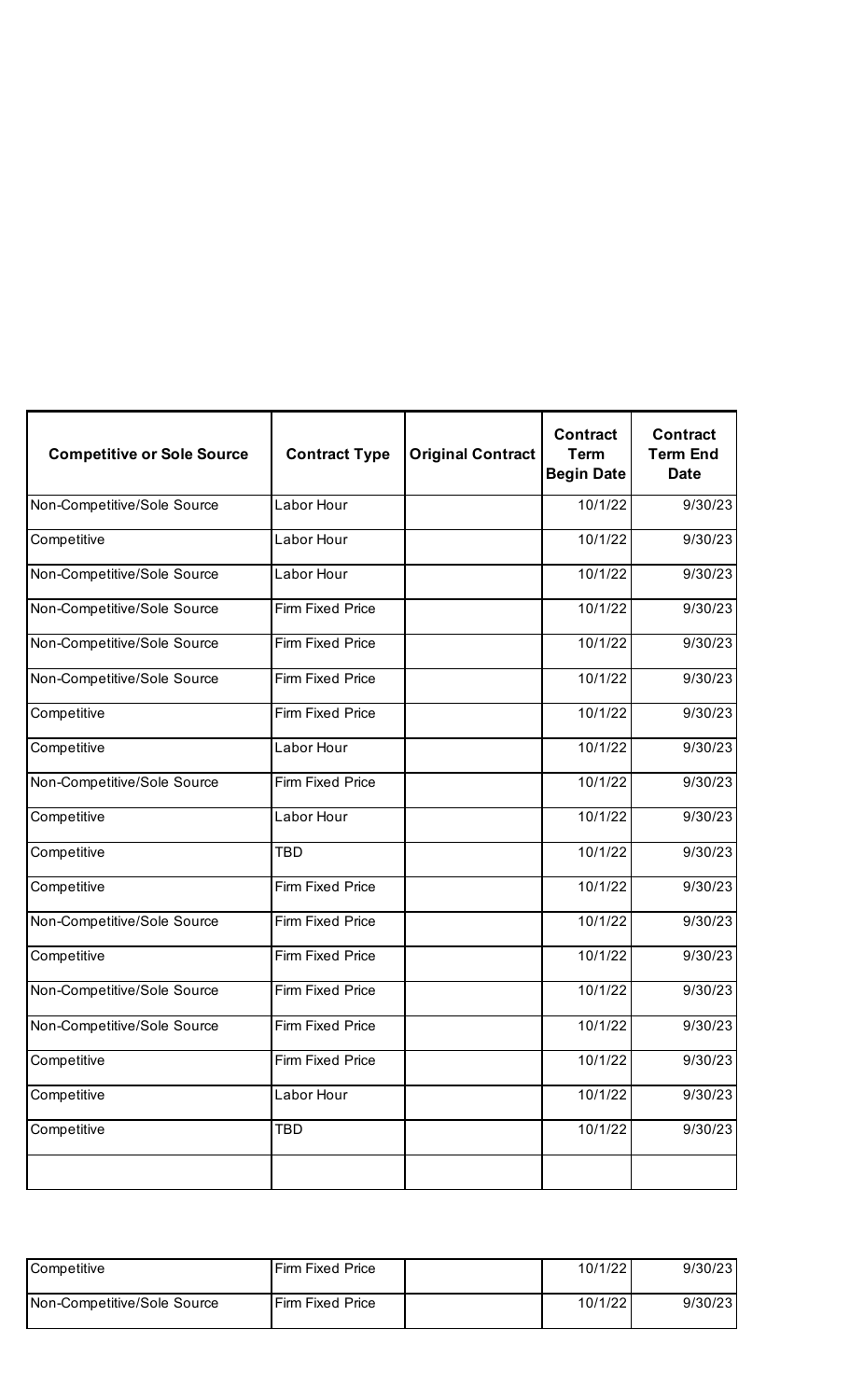| <b>Competitive or Sole Source</b> | <b>Contract Type</b>    | <b>Original Contract</b> | <b>Contract</b><br><b>Term</b><br><b>Begin Date</b> | <b>Contract</b><br><b>Term End</b><br><b>Date</b> |
|-----------------------------------|-------------------------|--------------------------|-----------------------------------------------------|---------------------------------------------------|
| Non-Competitive/Sole Source       | Labor Hour              |                          | 10/1/22                                             | 9/30/23                                           |
| Competitive                       | Labor Hour              |                          | 10/1/22                                             | 9/30/23                                           |
| Non-Competitive/Sole Source       | Labor Hour              |                          | 10/1/22                                             | 9/30/23                                           |
| Non-Competitive/Sole Source       | Firm Fixed Price        |                          | 10/1/22                                             | 9/30/23                                           |
| Non-Competitive/Sole Source       | Firm Fixed Price        |                          | 10/1/22                                             | 9/30/23                                           |
| Non-Competitive/Sole Source       | Firm Fixed Price        |                          | 10/1/22                                             | 9/30/23                                           |
| Competitive                       | Firm Fixed Price        |                          | 10/1/22                                             | 9/30/23                                           |
| Competitive                       | Labor Hour              |                          | 10/1/22                                             | 9/30/23                                           |
| Non-Competitive/Sole Source       | Firm Fixed Price        |                          | 10/1/22                                             | 9/30/23                                           |
| Competitive                       | Labor Hour              |                          | 10/1/22                                             | 9/30/23                                           |
| Competitive                       | <b>TBD</b>              |                          | 10/1/22                                             | 9/30/23                                           |
| Competitive                       | Firm Fixed Price        |                          | 10/1/22                                             | 9/30/23                                           |
| Non-Competitive/Sole Source       | Firm Fixed Price        |                          | 10/1/22                                             | 9/30/23                                           |
| Competitive                       | Firm Fixed Price        |                          | 10/1/22                                             | 9/30/23                                           |
| Non-Competitive/Sole Source       | <b>Firm Fixed Price</b> |                          | 10/1/22                                             | 9/30/23                                           |
| Non-Competitive/Sole Source       | Firm Fixed Price        |                          | 10/1/22                                             | 9/30/23                                           |
| Competitive                       | Firm Fixed Price        |                          | 10/1/22                                             | 9/30/23                                           |
| Competitive                       | Labor Hour              |                          | 10/1/22                                             | 9/30/23                                           |
| Competitive                       | <b>TBD</b>              |                          | 10/1/22                                             | 9/30/23                                           |
|                                   |                         |                          |                                                     |                                                   |

| <b>Competitive</b>          | <b>Firm Fixed Price</b> | 10/1/22 | 9/30/23 |
|-----------------------------|-------------------------|---------|---------|
| Non-Competitive/Sole Source | l Firm Fixed Price      | 10/1/22 | 9/30/23 |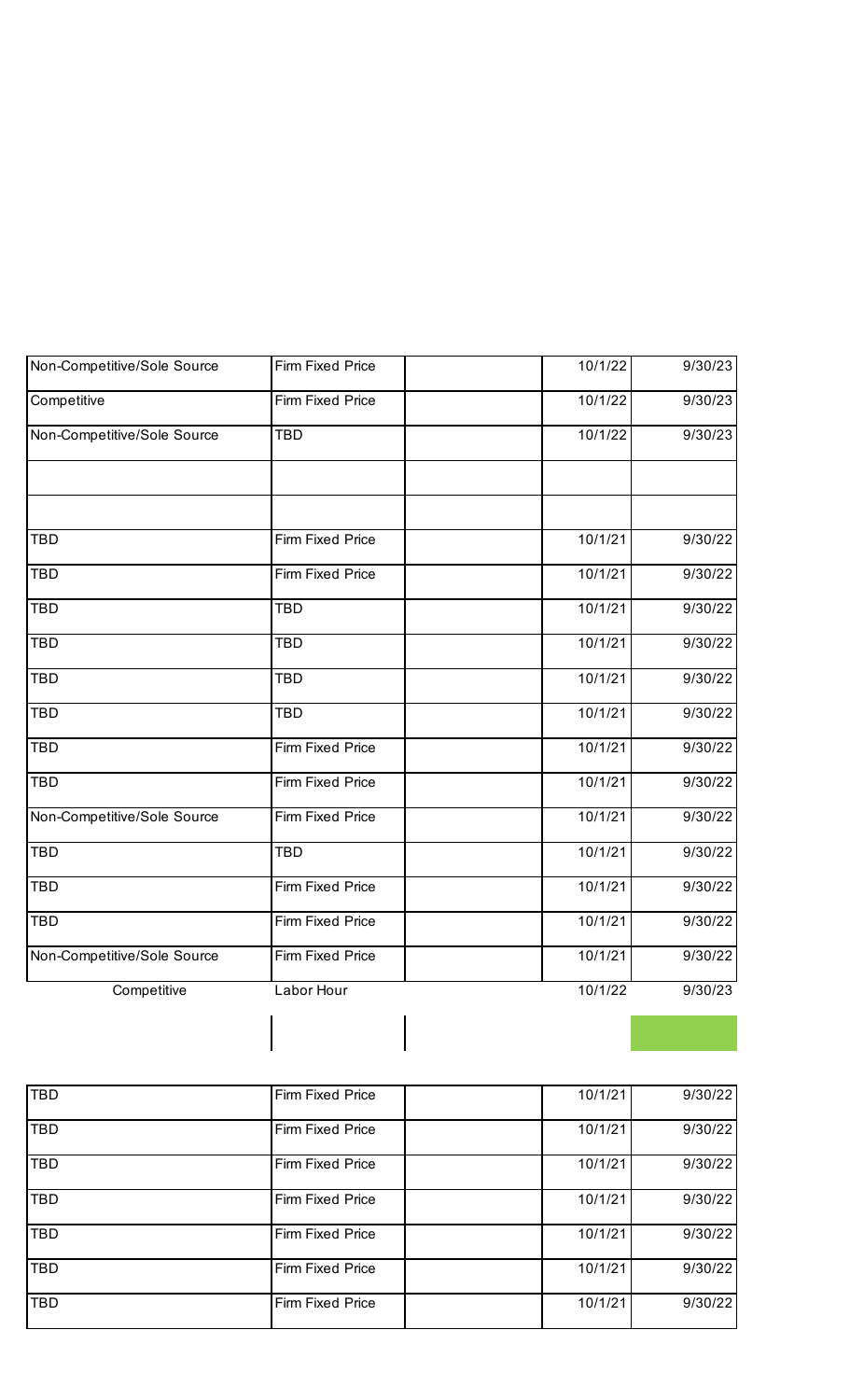| Non-Competitive/Sole Source | Firm Fixed Price | 10/1/22 | 9/30/23 |
|-----------------------------|------------------|---------|---------|
| Competitive                 | Firm Fixed Price | 10/1/22 | 9/30/23 |
| Non-Competitive/Sole Source | <b>TBD</b>       | 10/1/22 | 9/30/23 |
|                             |                  |         |         |
| <b>TBD</b>                  | Firm Fixed Price | 10/1/21 | 9/30/22 |
| <b>TBD</b>                  | Firm Fixed Price | 10/1/21 | 9/30/22 |
| <b>TBD</b>                  | <b>TBD</b>       | 10/1/21 | 9/30/22 |
| <b>TBD</b>                  | <b>TBD</b>       | 10/1/21 | 9/30/22 |
| <b>TBD</b>                  | <b>TBD</b>       | 10/1/21 | 9/30/22 |
| <b>TBD</b>                  | <b>TBD</b>       | 10/1/21 | 9/30/22 |
| <b>TBD</b>                  | Firm Fixed Price | 10/1/21 | 9/30/22 |
| <b>TBD</b>                  | Firm Fixed Price | 10/1/21 | 9/30/22 |
| Non-Competitive/Sole Source | Firm Fixed Price | 10/1/21 | 9/30/22 |
| <b>TBD</b>                  | <b>TBD</b>       | 10/1/21 | 9/30/22 |
| <b>TBD</b>                  | Firm Fixed Price | 10/1/21 | 9/30/22 |
| <b>TBD</b>                  | Firm Fixed Price | 10/1/21 | 9/30/22 |
| Non-Competitive/Sole Source | Firm Fixed Price | 10/1/21 | 9/30/22 |
| Competitive                 | Labor Hour       | 10/1/22 | 9/30/23 |
|                             |                  |         |         |
|                             |                  |         |         |

| <b>TBD</b> | Firm Fixed Price | 10/1/21 | 9/30/22 |
|------------|------------------|---------|---------|
| <b>TBD</b> | Firm Fixed Price | 10/1/21 | 9/30/22 |
| <b>TBD</b> | Firm Fixed Price | 10/1/21 | 9/30/22 |
| TBD        | Firm Fixed Price | 10/1/21 | 9/30/22 |
| <b>TBD</b> | Firm Fixed Price | 10/1/21 | 9/30/22 |
| <b>TBD</b> | Firm Fixed Price | 10/1/21 | 9/30/22 |
| TBD        | Firm Fixed Price | 10/1/21 | 9/30/22 |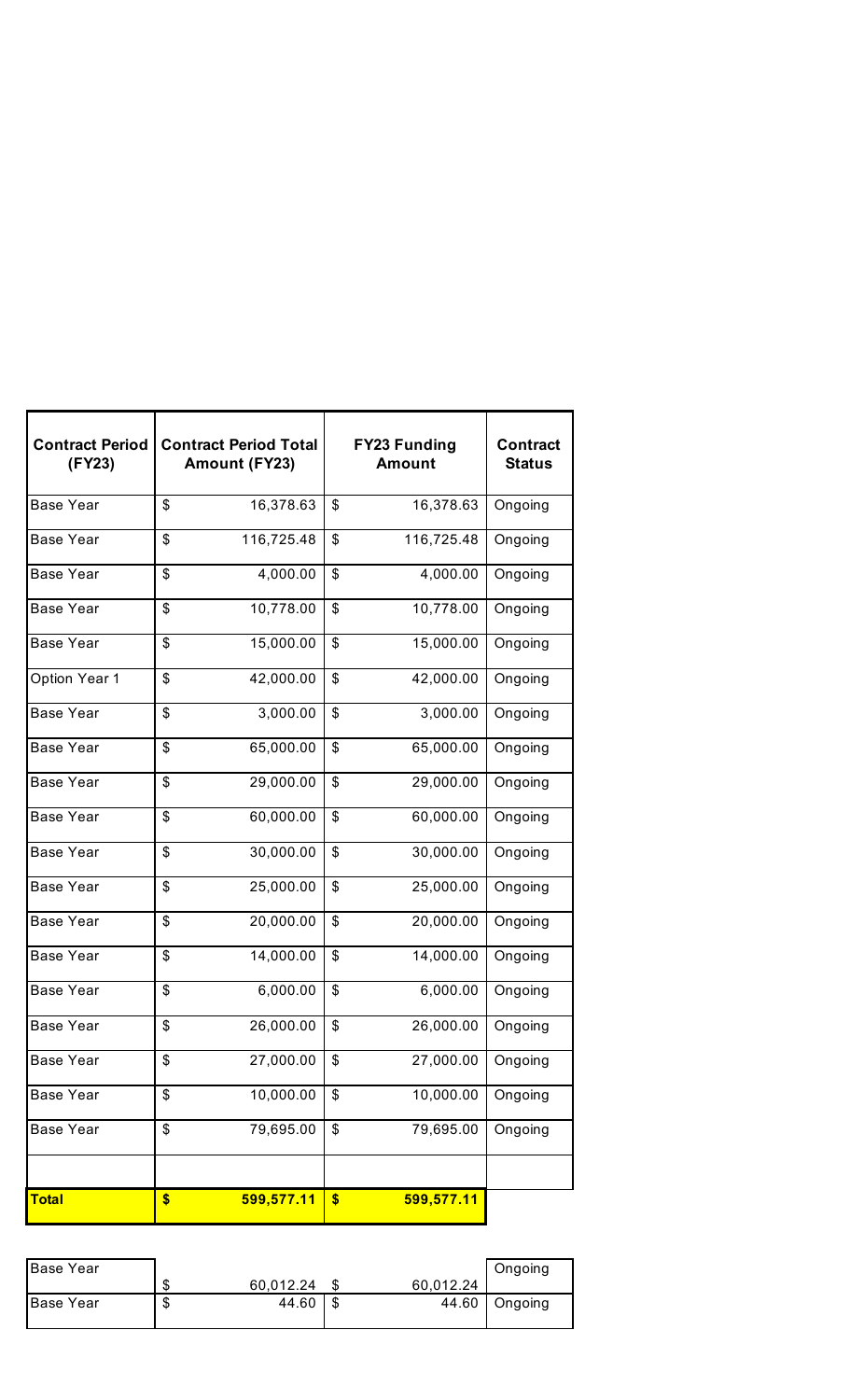| <b>Contract Period</b><br>(FY23) |                | <b>Contract Period Total</b><br><b>Amount (FY23)</b> | <b>FY23 Funding</b><br><b>Amount</b> | <b>Contract</b><br><b>Status</b> |
|----------------------------------|----------------|------------------------------------------------------|--------------------------------------|----------------------------------|
| <b>Base Year</b>                 | \$             | 16,378.63                                            | \$<br>16,378.63                      | Ongoing                          |
| <b>Base Year</b>                 | \$             | 116,725.48                                           | \$<br>116,725.48                     | Ongoing                          |
| <b>Base Year</b>                 | \$             | 4,000.00                                             | \$<br>4,000.00                       | Ongoing                          |
| <b>Base Year</b>                 | \$             | 10,778.00                                            | \$<br>10,778.00                      | Ongoing                          |
| <b>Base Year</b>                 | \$             | 15,000.00                                            | \$<br>15,000.00                      | Ongoing                          |
| Option Year 1                    | \$             | 42,000.00                                            | \$<br>42,000.00                      | Ongoing                          |
| <b>Base Year</b>                 | \$             | 3,000.00                                             | \$<br>3,000.00                       | Ongoing                          |
| <b>Base Year</b>                 | \$             | 65,000.00                                            | \$<br>65,000.00                      | Ongoing                          |
| <b>Base Year</b>                 | \$             | 29,000.00                                            | \$<br>29,000.00                      | Ongoing                          |
| <b>Base Year</b>                 | \$             | 60,000.00                                            | \$<br>60,000.00                      | Ongoing                          |
| <b>Base Year</b>                 | \$             | 30,000.00                                            | \$<br>30,000.00                      | Ongoing                          |
| <b>Base Year</b>                 | \$             | 25,000.00                                            | \$<br>25,000.00                      | Ongoing                          |
| <b>Base Year</b>                 | $\mathfrak{S}$ | 20,000.00                                            | \$<br>20,000.00                      | Ongoing                          |
| <b>Base Year</b>                 | \$             | 14,000.00                                            | \$<br>14,000.00                      | Ongoing                          |
| <b>Base Year</b>                 | \$             | 6,000.00                                             | \$<br>6,000.00                       | Ongoing                          |
| <b>Base Year</b>                 | \$             | 26,000.00                                            | \$<br>26,000.00                      | Ongoing                          |
| <b>Base Year</b>                 | \$             | 27,000.00                                            | \$<br>27,000.00                      | Ongoing                          |
| <b>Base Year</b>                 | \$             | 10,000.00                                            | \$<br>10,000.00                      | Ongoing                          |
| Base Year                        | \$             | 79,695.00                                            | \$<br>79,695.00                      | Ongoing                          |
|                                  |                |                                                      |                                      |                                  |
| <b>Total</b>                     | \$             | 599,577.11                                           | \$<br>599,577.11                     |                                  |

| <b>Base Year</b> |         |           |           | Ongoing       |
|------------------|---------|-----------|-----------|---------------|
|                  | ᠊ᠭ<br>æ | 60,012.24 | 60,012.24 |               |
| <b>Base Year</b> | ᠊ᠭ<br>Œ | 44.60     |           | 44.60 Ongoing |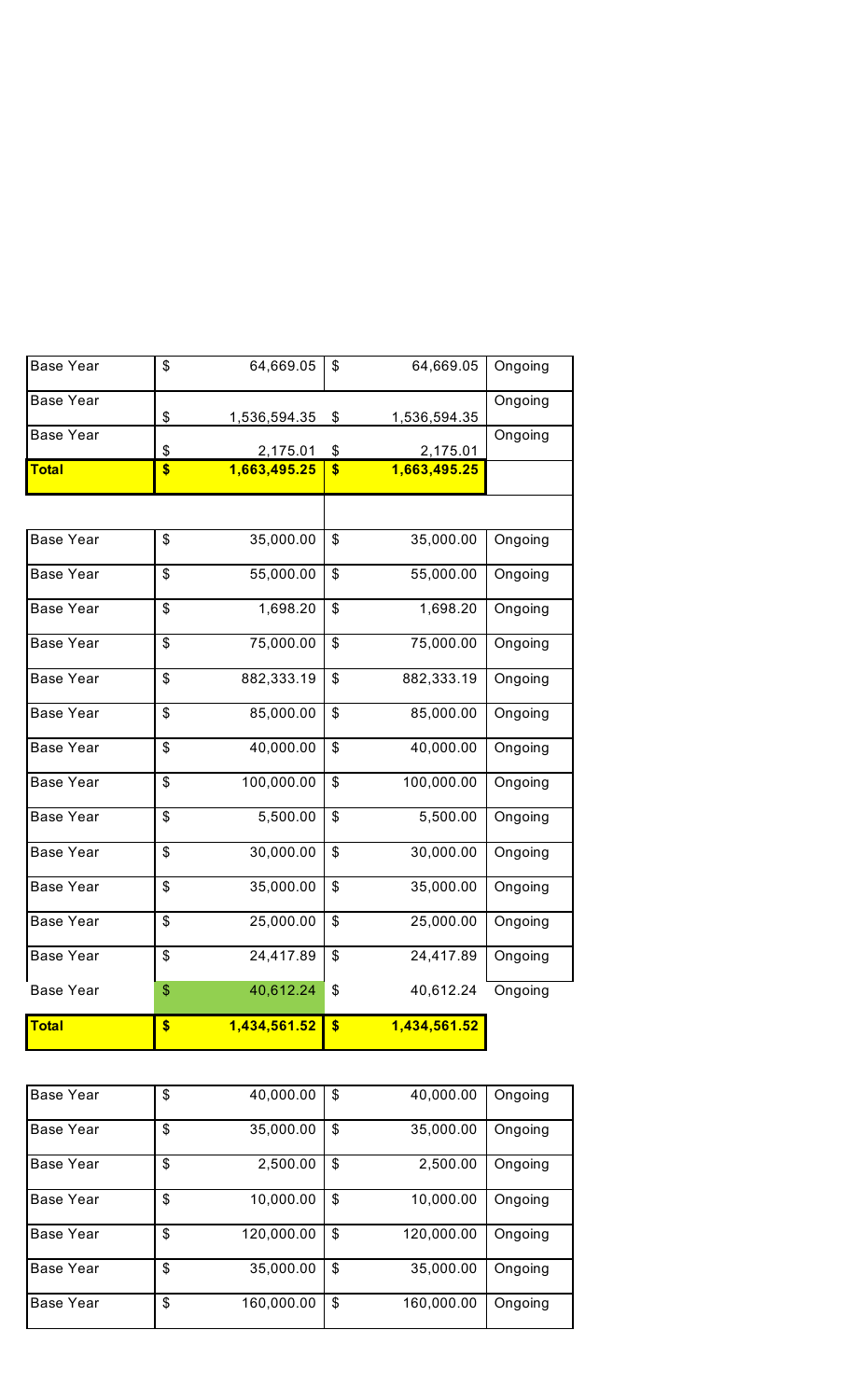| Base Year        | \$<br>40,000.00  | \$<br>40,000.00  | Ongoing |
|------------------|------------------|------------------|---------|
| <b>Base Year</b> | \$<br>35,000.00  | \$<br>35,000.00  | Ongoing |
| Base Year        | \$<br>2,500.00   | \$<br>2,500.00   | Ongoing |
| <b>Base Year</b> | \$<br>10,000.00  | \$<br>10,000.00  | Ongoing |
| <b>Base Year</b> | \$<br>120,000.00 | \$<br>120,000.00 | Ongoing |
| Base Year        | \$<br>35,000.00  | \$<br>35,000.00  | Ongoing |
| <b>Base Year</b> | \$<br>160,000.00 | \$<br>160,000.00 | Ongoing |

| <b>Base Year</b> | \$                      | 64,669.05    | \$                      | 64,669.05    | Ongoing |
|------------------|-------------------------|--------------|-------------------------|--------------|---------|
| <b>Base Year</b> | \$                      | 1,536,594.35 | \$                      | 1,536,594.35 | Ongoing |
| <b>Base Year</b> | \$                      | 2,175.01     | \$                      | 2,175.01     | Ongoing |
| <b>Total</b>     | \$                      | 1,663,495.25 | $\overline{\$}$         | 1,663,495.25 |         |
|                  |                         |              |                         |              |         |
| <b>Base Year</b> | \$                      | 35,000.00    | \$                      | 35,000.00    | Ongoing |
| <b>Base Year</b> | \$                      | 55,000.00    | \$                      | 55,000.00    | Ongoing |
| <b>Base Year</b> | \$                      | 1,698.20     | \$                      | 1,698.20     | Ongoing |
| <b>Base Year</b> | \$                      | 75,000.00    | \$                      | 75,000.00    | Ongoing |
| <b>Base Year</b> | \$                      | 882,333.19   | \$                      | 882,333.19   | Ongoing |
| <b>Base Year</b> | \$                      | 85,000.00    | $\mathfrak{S}$          | 85,000.00    | Ongoing |
| <b>Base Year</b> | \$                      | 40,000.00    | $\overline{\mathbf{s}}$ | 40,000.00    | Ongoing |
| <b>Base Year</b> | \$                      | 100,000.00   | \$                      | 100,000.00   | Ongoing |
| <b>Base Year</b> | \$                      | 5,500.00     | \$                      | 5,500.00     | Ongoing |
| <b>Base Year</b> | $\overline{\mathbf{S}}$ | 30,000.00    | $\overline{\mathbf{S}}$ | 30,000.00    | Ongoing |
| <b>Base Year</b> | \$                      | 35,000.00    | $\mathfrak{S}$          | 35,000.00    | Ongoing |
| <b>Base Year</b> | \$                      | 25,000.00    | \$                      | 25,000.00    | Ongoing |
| <b>Base Year</b> | \$                      | 24,417.89    | $\mathfrak{S}$          | 24,417.89    | Ongoing |
| <b>Base Year</b> | \$                      | 40,612.24    | \$                      | 40,612.24    | Ongoing |
| <b>Total</b>     | \$                      | 1,434,561.52 | \$                      | 1,434,561.52 |         |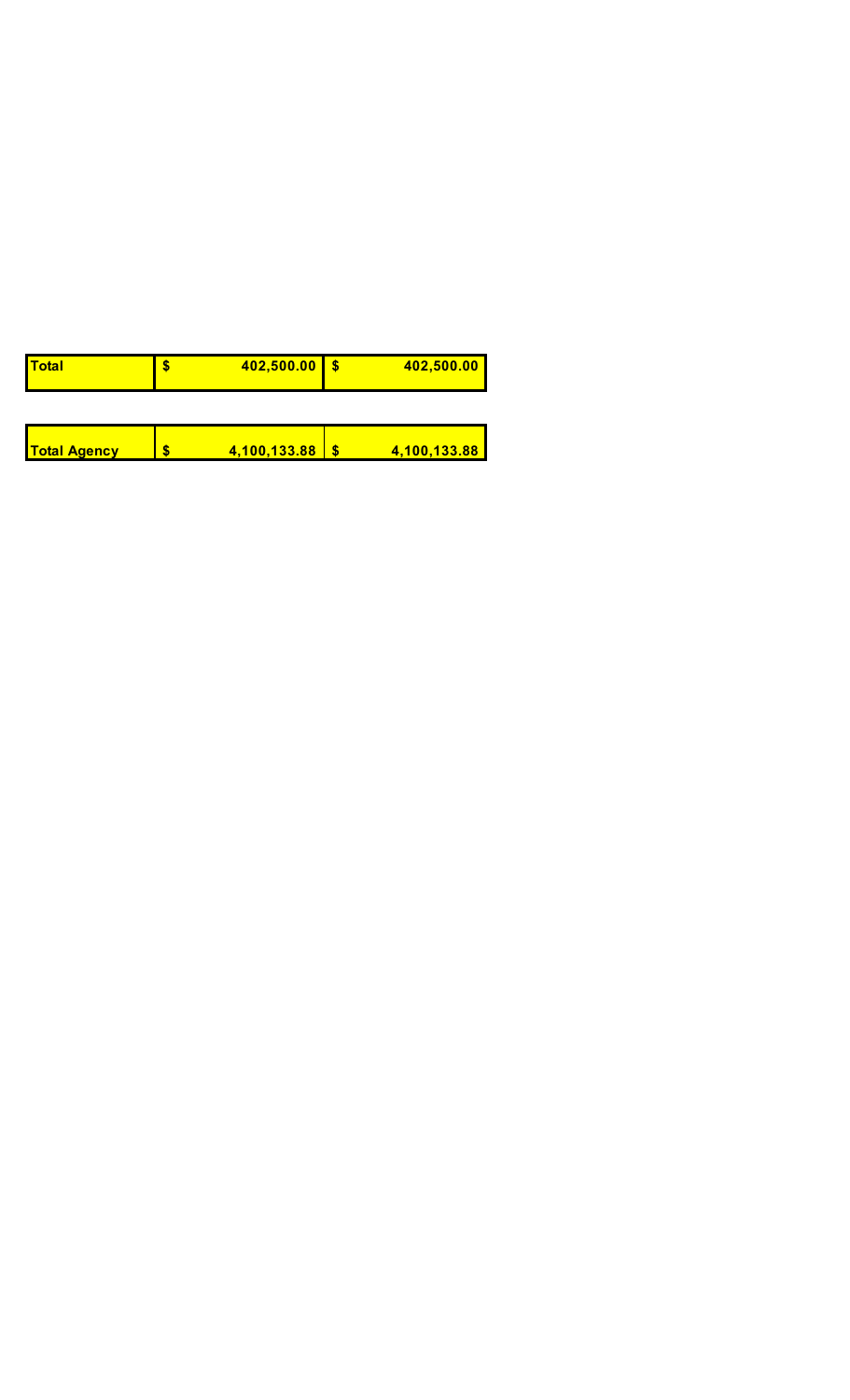| <u> Total</u>       | S | 402,500.00   | 402,500.00   |
|---------------------|---|--------------|--------------|
|                     |   |              |              |
| <b>Total Agency</b> |   | 4,100,133.88 | 4,100,133.88 |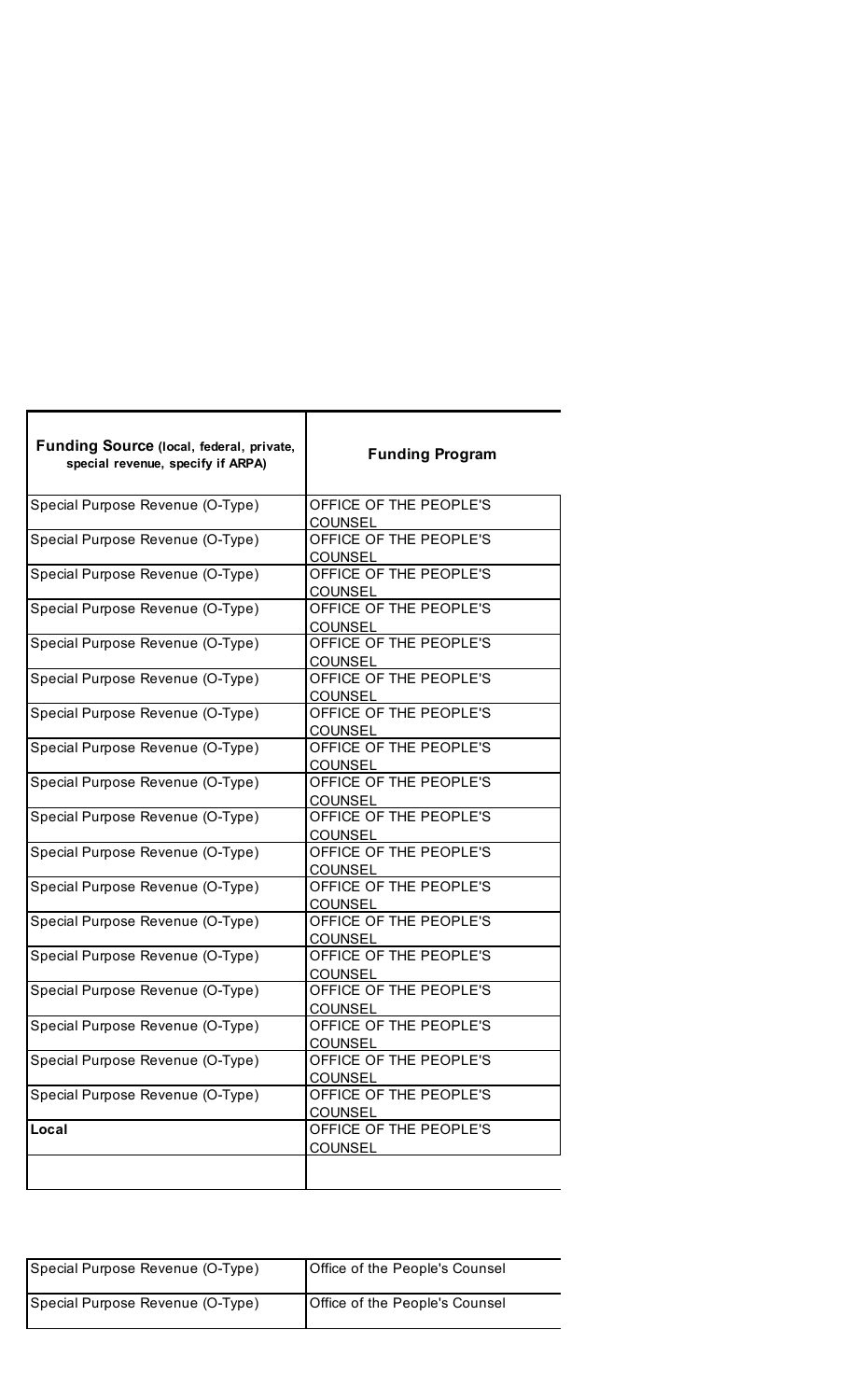| Funding Source (local, federal, private,<br>special revenue, specify if ARPA) | <b>Funding Program</b>                   |
|-------------------------------------------------------------------------------|------------------------------------------|
| Special Purpose Revenue (O-Type)                                              | OFFICE OF THE PEOPLE'S<br><b>COUNSEL</b> |
| Special Purpose Revenue (O-Type)                                              | OFFICE OF THE PEOPLE'S<br><b>COUNSEL</b> |
| Special Purpose Revenue (O-Type)                                              | OFFICE OF THE PEOPLE'S<br><b>COUNSEL</b> |
| Special Purpose Revenue (O-Type)                                              | OFFICE OF THE PEOPLE'S<br><b>COUNSEL</b> |
| Special Purpose Revenue (O-Type)                                              | OFFICE OF THE PEOPLE'S<br><b>COUNSEL</b> |
| Special Purpose Revenue (O-Type)                                              | OFFICE OF THE PEOPLE'S<br><b>COUNSEL</b> |
| Special Purpose Revenue (O-Type)                                              | OFFICE OF THE PEOPLE'S<br><b>COUNSEL</b> |
| Special Purpose Revenue (O-Type)                                              | OFFICE OF THE PEOPLE'S<br><b>COUNSEL</b> |
| Special Purpose Revenue (O-Type)                                              | OFFICE OF THE PEOPLE'S<br><b>COUNSEL</b> |
| Special Purpose Revenue (O-Type)                                              | OFFICE OF THE PEOPLE'S<br><b>COUNSEL</b> |
| Special Purpose Revenue (O-Type)                                              | OFFICE OF THE PEOPLE'S<br><b>COUNSEL</b> |
| Special Purpose Revenue (O-Type)                                              | OFFICE OF THE PEOPLE'S<br><b>COUNSEL</b> |
| Special Purpose Revenue (O-Type)                                              | OFFICE OF THE PEOPLE'S<br><b>COUNSEL</b> |
| Special Purpose Revenue (O-Type)                                              | OFFICE OF THE PEOPLE'S<br><b>COUNSEL</b> |
| Special Purpose Revenue (O-Type)                                              | OFFICE OF THE PEOPLE'S<br><b>COUNSEL</b> |
| Special Purpose Revenue (O-Type)                                              | OFFICE OF THE PEOPLE'S<br><b>COUNSEL</b> |
| Special Purpose Revenue (O-Type)                                              | OFFICE OF THE PEOPLE'S<br><b>COUNSEL</b> |
| Special Purpose Revenue (O-Type)                                              | OFFICE OF THE PEOPLE'S<br><b>COUNSEL</b> |
| Local                                                                         | OFFICE OF THE PEOPLE'S<br><b>COUNSEL</b> |
|                                                                               |                                          |

| Special Purpose Revenue (O-Type) | <b>Office of the People's Counsel</b> |
|----------------------------------|---------------------------------------|
| Special Purpose Revenue (O-Type) | <b>Office of the People's Counsel</b> |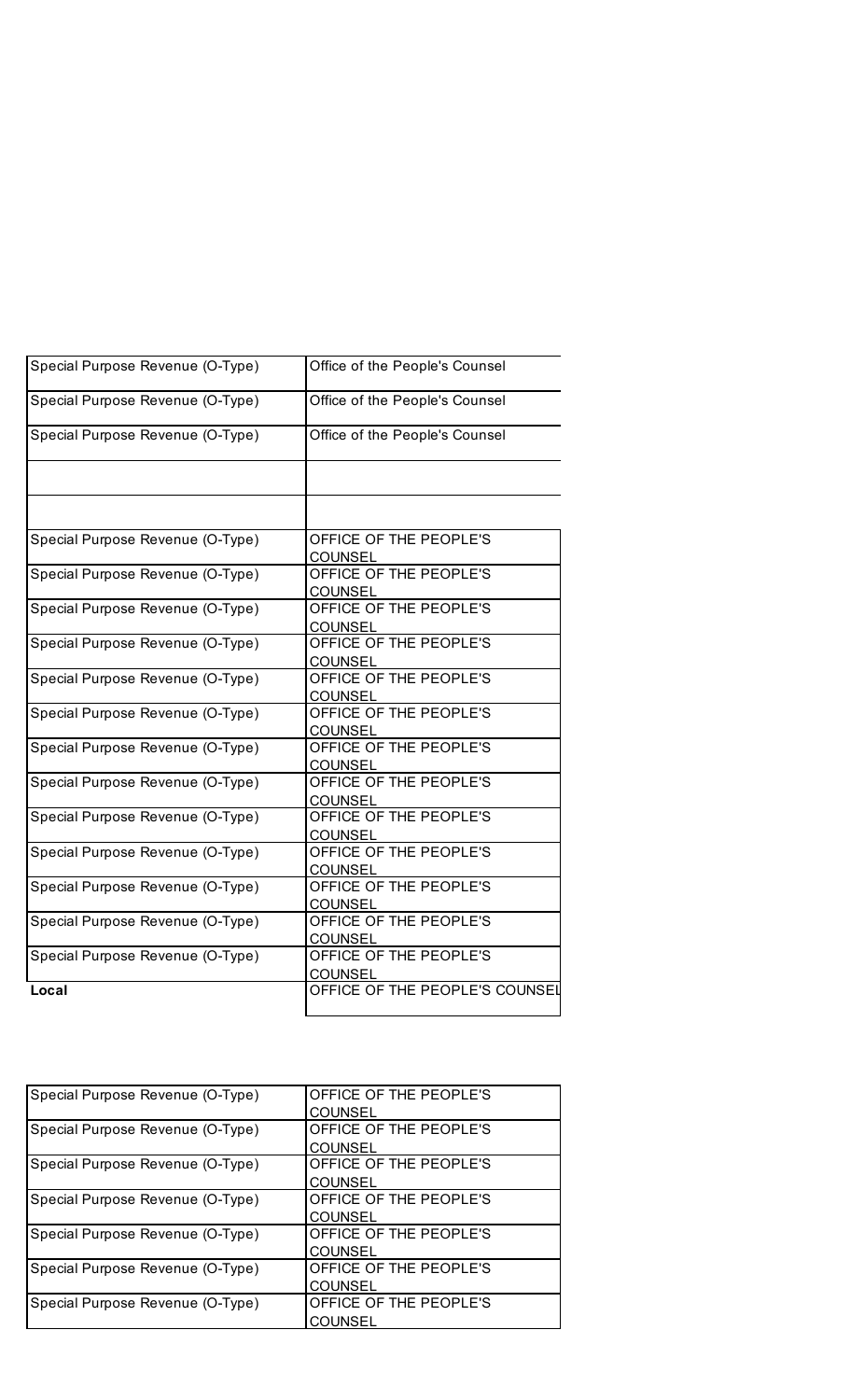| Special Purpose Revenue (O-Type) | Office of the People's Counsel           |
|----------------------------------|------------------------------------------|
| Special Purpose Revenue (O-Type) | Office of the People's Counsel           |
| Special Purpose Revenue (O-Type) | Office of the People's Counsel           |
|                                  |                                          |
|                                  |                                          |
| Special Purpose Revenue (O-Type) | OFFICE OF THE PEOPLE'S<br>COUNSEL        |
| Special Purpose Revenue (O-Type) | OFFICE OF THE PEOPLE'S<br><b>COUNSEL</b> |
| Special Purpose Revenue (O-Type) | OFFICE OF THE PEOPLE'S<br><b>COUNSEL</b> |
| Special Purpose Revenue (O-Type) | OFFICE OF THE PEOPLE'S<br><b>COUNSEL</b> |
| Special Purpose Revenue (O-Type) | OFFICE OF THE PEOPLE'S<br><b>COUNSEL</b> |
| Special Purpose Revenue (O-Type) | OFFICE OF THE PEOPLE'S<br><b>COUNSEL</b> |
| Special Purpose Revenue (O-Type) | OFFICE OF THE PEOPLE'S<br><b>COUNSEL</b> |
| Special Purpose Revenue (O-Type) | OFFICE OF THE PEOPLE'S<br><b>COUNSEL</b> |
| Special Purpose Revenue (O-Type) | OFFICE OF THE PEOPLE'S<br><b>COUNSEL</b> |
| Special Purpose Revenue (O-Type) | OFFICE OF THE PEOPLE'S<br><b>COUNSEL</b> |
| Special Purpose Revenue (O-Type) | OFFICE OF THE PEOPLE'S<br>COUNSEL        |
| Special Purpose Revenue (O-Type) | OFFICE OF THE PEOPLE'S<br><b>COUNSEL</b> |
| Special Purpose Revenue (O-Type) | OFFICE OF THE PEOPLE'S<br><b>COUNSEL</b> |
| Local                            | OFFICE OF THE PEOPLE'S COUNSEL           |

| Special Purpose Revenue (O-Type) | OFFICE OF THE PEOPLE'S |  |
|----------------------------------|------------------------|--|
|                                  | COUNSEL                |  |
| Special Purpose Revenue (O-Type) | OFFICE OF THE PEOPLE'S |  |
|                                  | COUNSEL                |  |
| Special Purpose Revenue (O-Type) | OFFICE OF THE PEOPLE'S |  |
|                                  | <b>COUNSEL</b>         |  |
| Special Purpose Revenue (O-Type) | OFFICE OF THE PEOPLE'S |  |
|                                  | COUNSEL                |  |
| Special Purpose Revenue (O-Type) | OFFICE OF THE PEOPLE'S |  |
|                                  | COUNSEL                |  |
| Special Purpose Revenue (O-Type) | OFFICE OF THE PEOPLE'S |  |
|                                  | COUNSEL                |  |
| Special Purpose Revenue (O-Type) | OFFICE OF THE PEOPLE'S |  |
|                                  | COUNSEL                |  |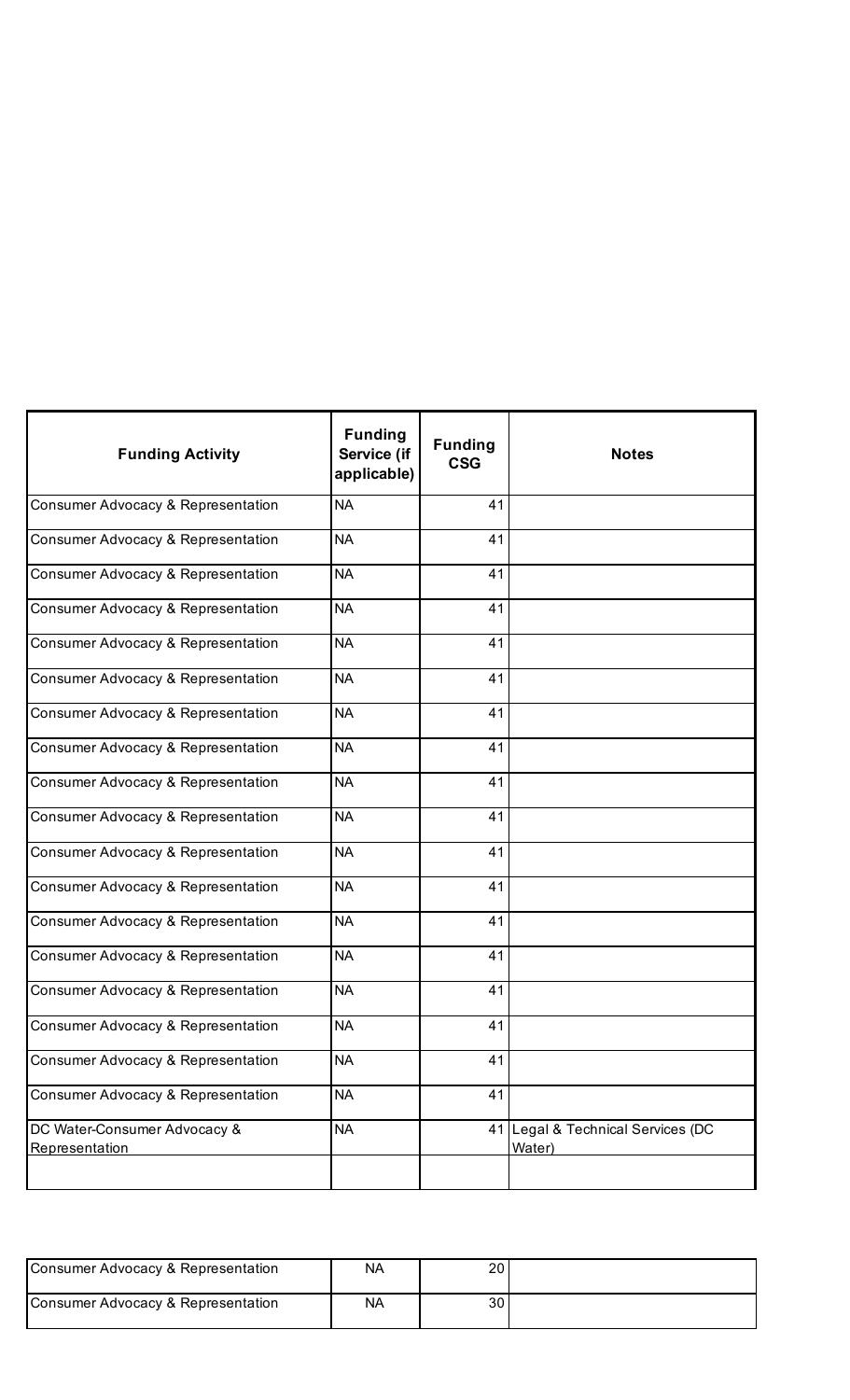| <b>Funding Activity</b>                        | <b>Funding</b><br>Service (if<br>applicable) | <b>Funding</b><br><b>CSG</b> | <b>Notes</b>                             |
|------------------------------------------------|----------------------------------------------|------------------------------|------------------------------------------|
| Consumer Advocacy & Representation             | <b>NA</b>                                    | 41                           |                                          |
| Consumer Advocacy & Representation             | <b>NA</b>                                    | 41                           |                                          |
| Consumer Advocacy & Representation             | <b>NA</b>                                    | 41                           |                                          |
| Consumer Advocacy & Representation             | <b>NA</b>                                    | 41                           |                                          |
| Consumer Advocacy & Representation             | <b>NA</b>                                    | 41                           |                                          |
| Consumer Advocacy & Representation             | <b>NA</b>                                    | 41                           |                                          |
| Consumer Advocacy & Representation             | <b>NA</b>                                    | 41                           |                                          |
| Consumer Advocacy & Representation             | <b>NA</b>                                    | 41                           |                                          |
| Consumer Advocacy & Representation             | <b>NA</b>                                    | 41                           |                                          |
| Consumer Advocacy & Representation             | <b>NA</b>                                    | 41                           |                                          |
| Consumer Advocacy & Representation             | <b>NA</b>                                    | 41                           |                                          |
| Consumer Advocacy & Representation             | <b>NA</b>                                    | 41                           |                                          |
| Consumer Advocacy & Representation             | <b>NA</b>                                    | 41                           |                                          |
| Consumer Advocacy & Representation             | <b>NA</b>                                    | 41                           |                                          |
| Consumer Advocacy & Representation             | <b>NA</b>                                    | 41                           |                                          |
| Consumer Advocacy & Representation             | <b>NA</b>                                    | 41                           |                                          |
| Consumer Advocacy & Representation             | <b>NA</b>                                    | 41                           |                                          |
| Consumer Advocacy & Representation             | <b>NA</b>                                    | 41                           |                                          |
| DC Water-Consumer Advocacy &<br>Representation | <b>NA</b>                                    | 41                           | Legal & Technical Services (DC<br>Water) |

| Consumer Advocacy & Representation | NA | nr<br>zu |  |
|------------------------------------|----|----------|--|
| Consumer Advocacy & Representation | NA | 30       |  |